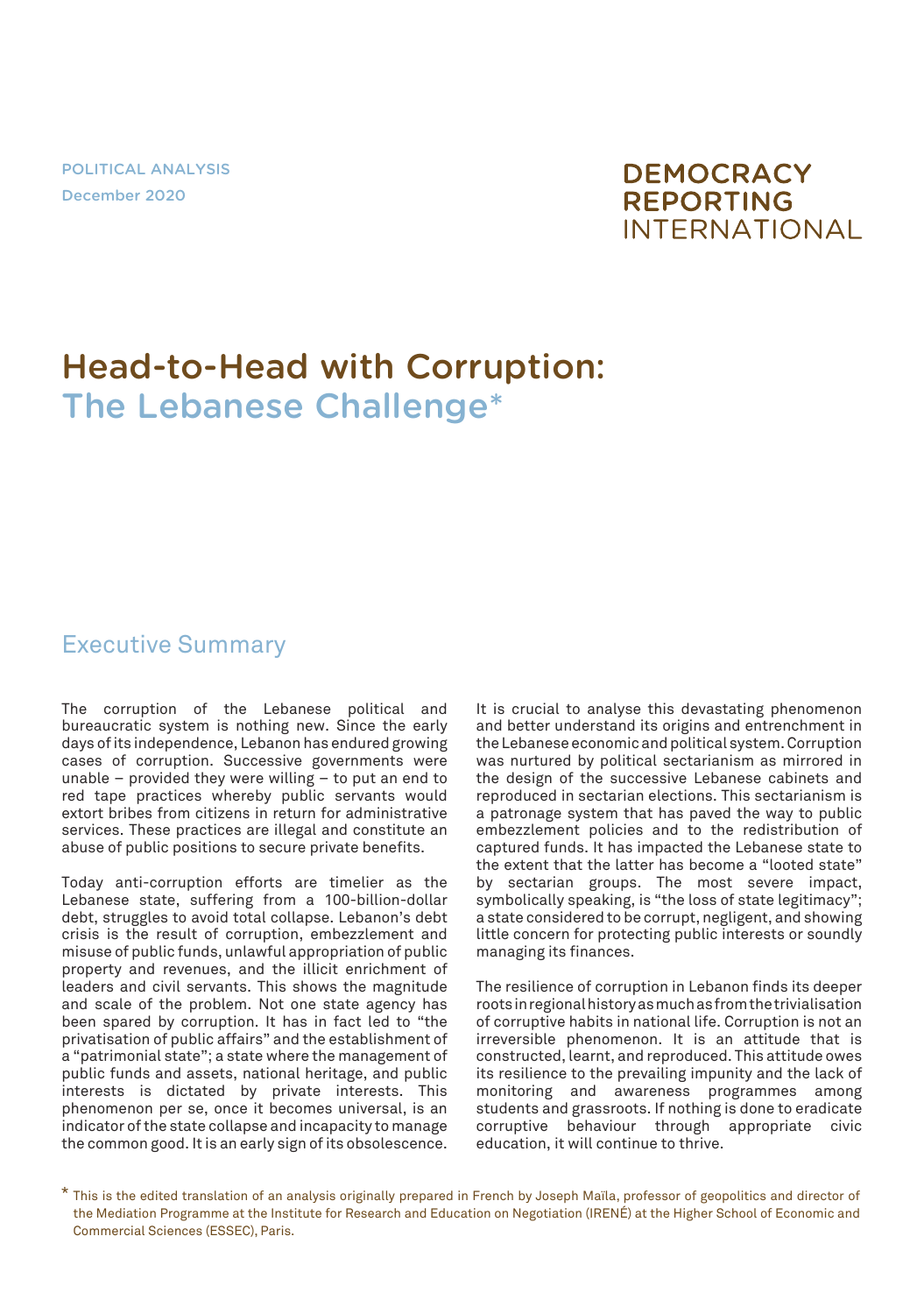POLITICAL ANALYSIS December 2020

# **DEMOCRACY REPORTING INTERNATIONAL**

# Head-to-Head with Corruption: The Lebanese Challenge\*

#### Executive Summary

The corruption of the Lebanese political and bureaucratic system is nothing new. Since the early days of its independence, Lebanon has endured growing cases of corruption. Successive governments were unable – provided they were willing – to put an end to red tape practices whereby public servants would extort bribes from citizens in return for administrative services. These practices are illegal and constitute an abuse of public positions to secure private benefits.

Today anti-corruption efforts are timelier as the Lebanese state, suffering from a 100-billion-dollar debt, struggles to avoid total collapse. Lebanon's debt crisis is the result of corruption, embezzlement and misuse of public funds, unlawful appropriation of public property and revenues, and the illicit enrichment of leaders and civil servants. This shows the magnitude and scale of the problem. Not one state agency has been spared by corruption. It has in fact led to "the privatisation of public affairs" and the establishment of a "patrimonial state"; a state where the management of public funds and assets, national heritage, and public interests is dictated by private interests. This phenomenon per se, once it becomes universal, is an indicator of the state collapse and incapacity to manage the common good. It is an early sign of its obsolescence.

It is crucial to analyse this devastating phenomenon and better understand its origins and entrenchment in the Lebanese economic and political system. Corruption was nurtured by political sectarianism as mirrored in the design of the successive Lebanese cabinets and reproduced in sectarian elections. This sectarianism is a patronage system that has paved the way to public embezzlement policies and to the redistribution of captured funds. It has impacted the Lebanese state to the extent that the latter has become a "looted state" by sectarian groups. The most severe impact, symbolically speaking, is "the loss of state legitimacy"; a state considered to be corrupt, negligent, and showing little concern for protecting public interests or soundly managing its finances.

The resilience of corruption in Lebanon finds its deeper roots in regional history as much as from the trivialisation of corruptive habits in national life. Corruption is not an irreversible phenomenon. It is an attitude that is constructed, learnt, and reproduced. This attitude owes its resilience to the prevailing impunity and the lack of monitoring and awareness programmes among students and grassroots. If nothing is done to eradicate corruptive behaviour through appropriate civic education, it will continue to thrive.

<sup>\*</sup> This is the edited translation of an analysis originally prepared in French by Joseph Maïla, professor of geopolitics and director of the Mediation Programme at the Institute for Research and Education on Negotiation (IRENÉ) at the Higher School of Economic and Commercial Sciences (ESSEC), Paris.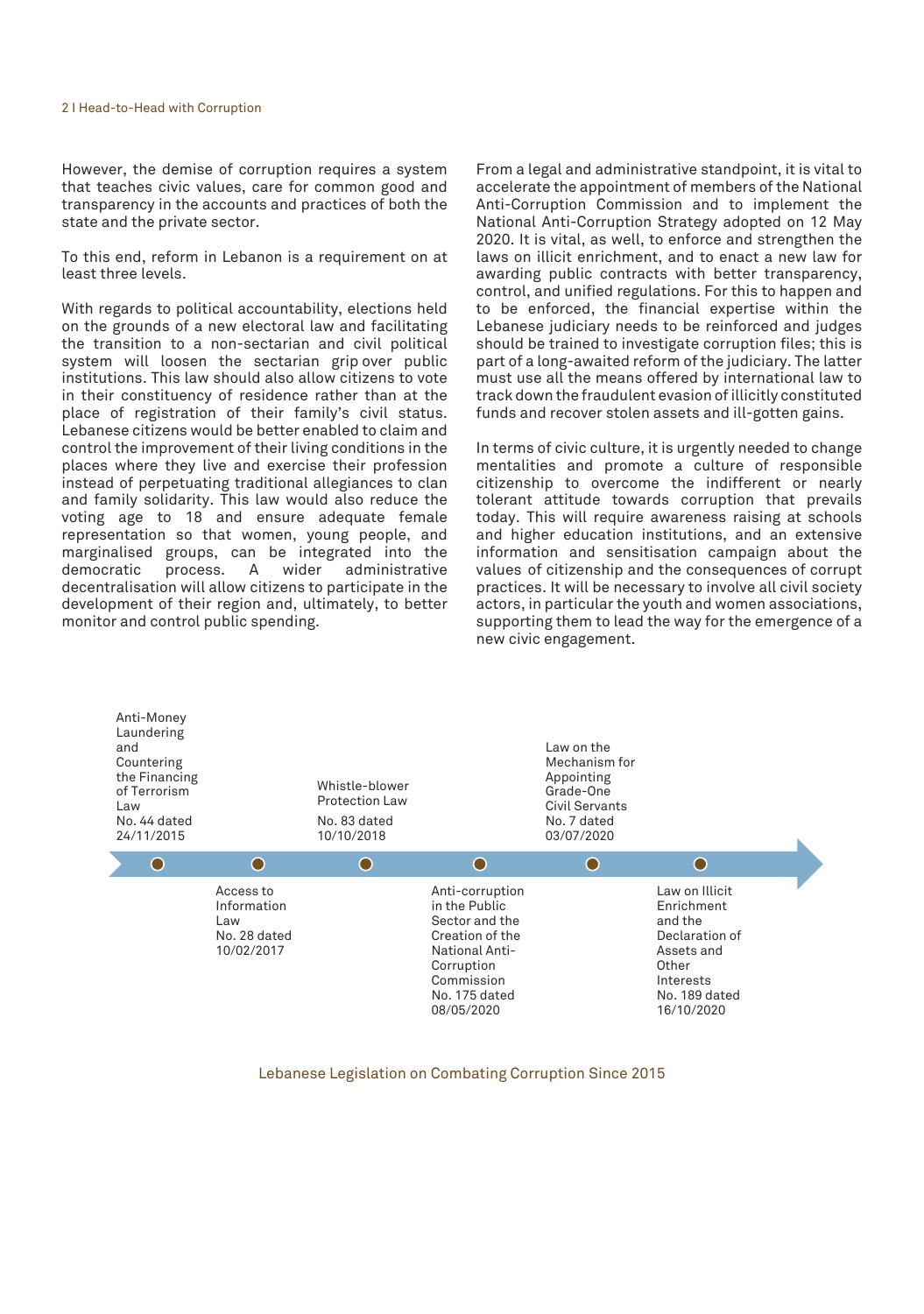However, the demise of corruption requires a system that teaches civic values, care for common good and transparency in the accounts and practices of both the state and the private sector.

To this end, reform in Lebanon is a requirement on at least three levels.

With regards to political accountability, elections held on the grounds of a new electoral law and facilitating the transition to a non-sectarian and civil political system will loosen the sectarian grip over public institutions. This law should also allow citizens to vote in their constituency of residence rather than at the place of registration of their family's civil status. Lebanese citizens would be better enabled to claim and control the improvement of their living conditions in the places where they live and exercise their profession instead of perpetuating traditional allegiances to clan and family solidarity. This law would also reduce the voting age to 18 and ensure adequate female representation so that women, young people, and marginalised groups, can be integrated into the process. A wider administrative decentralisation will allow citizens to participate in the development of their region and, ultimately, to better monitor and control public spending.

From a legal and administrative standpoint, it is vital to accelerate the appointment of members of the National Anti-Corruption Commission and to implement the National Anti-Corruption Strategy adopted on 12 May 2020. It is vital, as well, to enforce and strengthen the laws on illicit enrichment, and to enact a new law for awarding public contracts with better transparency, control, and unified regulations. For this to happen and to be enforced, the financial expertise within the Lebanese judiciary needs to be reinforced and judges should be trained to investigate corruption files; this is part of a long-awaited reform of the judiciary. The latter must use all the means offered by international law to track down the fraudulent evasion of illicitly constituted funds and recover stolen assets and ill-gotten gains.

In terms of civic culture, it is urgently needed to change mentalities and promote a culture of responsible citizenship to overcome the indifferent or nearly tolerant attitude towards corruption that prevails today. This will require awareness raising at schools and higher education institutions, and an extensive information and sensitisation campaign about the values of citizenship and the consequences of corrupt practices. It will be necessary to involve all civil society actors, in particular the youth and women associations, supporting them to lead the way for the emergence of a new civic engagement.



#### Lebanese Legislation on Combating Corruption Since 2015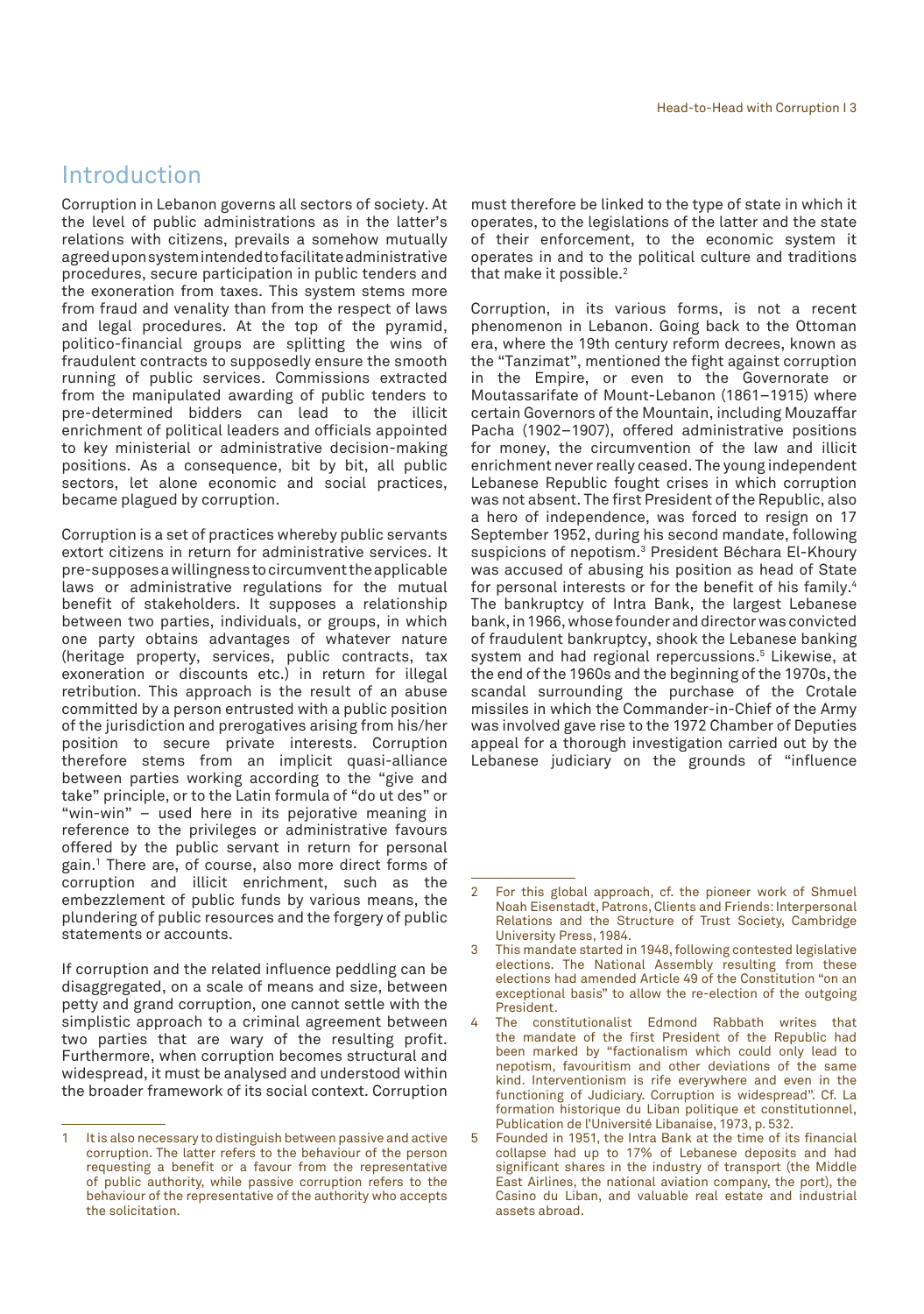#### Introduction

Corruption in Lebanon governs all sectors of society. At the level of public administrations as in the latter's relations with citizens, prevails a somehow mutually agreed upon system intended to facilitate administrative procedures, secure participation in public tenders and the exoneration from taxes. This system stems more from fraud and venality than from the respect of laws and legal procedures. At the top of the pyramid, politico-financial groups are splitting the wins of fraudulent contracts to supposedly ensure the smooth running of public services. Commissions extracted from the manipulated awarding of public tenders to pre-determined bidders can lead to the illicit enrichment of political leaders and officials appointed to key ministerial or administrative decision-making positions. As a consequence, bit by bit, all public sectors, let alone economic and social practices, became plagued by corruption.

Corruption is a set of practices whereby public servants extort citizens in return for administrative services. It pre-supposes a willingness to circumvent the applicable laws or administrative regulations for the mutual benefit of stakeholders. It supposes a relationship between two parties, individuals, or groups, in which one party obtains advantages of whatever nature (heritage property, services, public contracts, tax exoneration or discounts etc.) in return for illegal retribution. This approach is the result of an abuse committed by a person entrusted with a public position of the jurisdiction and prerogatives arising from his/her position to secure private interests. Corruption therefore stems from an implicit quasi-alliance between parties working according to the "give and take" principle, or to the Latin formula of "do ut des" or "win-win" – used here in its pejorative meaning in reference to the privileges or administrative favours offered by the public servant in return for personal gain.1 There are, of course, also more direct forms of corruption and illicit enrichment, such as the embezzlement of public funds by various means, the plundering of public resources and the forgery of public statements or accounts.

If corruption and the related influence peddling can be disaggregated, on a scale of means and size, between petty and grand corruption, one cannot settle with the simplistic approach to a criminal agreement between two parties that are wary of the resulting profit. Furthermore, when corruption becomes structural and widespread, it must be analysed and understood within the broader framework of its social context. Corruption

must therefore be linked to the type of state in which it operates, to the legislations of the latter and the state of their enforcement, to the economic system it operates in and to the political culture and traditions that make it possible.<sup>2</sup>

Corruption, in its various forms, is not a recent phenomenon in Lebanon. Going back to the Ottoman era, where the 19th century reform decrees, known as the "Tanzimat", mentioned the fight against corruption in the Empire, or even to the Governorate or Moutassarifate of Mount-Lebanon (1861–1915) where certain Governors of the Mountain, including Mouzaffar Pacha (1902–1907), offered administrative positions for money, the circumvention of the law and illicit enrichment never really ceased. The young independent Lebanese Republic fought crises in which corruption was not absent. The first President of the Republic, also a hero of independence, was forced to resign on 17 September 1952, during his second mandate, following suspicions of nepotism.3 President Béchara El-Khoury was accused of abusing his position as head of State for personal interests or for the benefit of his family.<sup>4</sup> The bankruptcy of Intra Bank, the largest Lebanese bank, in 1966, whose founder and director was convicted of fraudulent bankruptcy, shook the Lebanese banking system and had regional repercussions.5 Likewise, at the end of the 1960s and the beginning of the 1970s, the scandal surrounding the purchase of the Crotale missiles in which the Commander-in-Chief of the Army was involved gave rise to the 1972 Chamber of Deputies appeal for a thorough investigation carried out by the Lebanese judiciary on the grounds of "influence

<sup>1</sup> It is also necessary to distinguish between passive and active corruption. The latter refers to the behaviour of the person requesting a benefit or a favour from the representative of public authority, while passive corruption refers to the behaviour of the representative of the authority who accepts the solicitation.

<sup>2</sup> For this global approach, cf. the pioneer work of Shmuel Noah Eisenstadt, Patrons, Clients and Friends: Interpersonal Relations and the Structure of Trust Society, Cambridge University Press, 1984.

<sup>3</sup> This mandate started in 1948, following contested legislative elections. The National Assembly resulting from these elections had amended Article 49 of the Constitution "on an exceptional basis" to allow the re-election of the outgoing President.

<sup>4</sup> The constitutionalist Edmond Rabbath writes that the mandate of the first President of the Republic had been marked by "factionalism which could only lead to nepotism, favouritism and other deviations of the same kind. Interventionism is rife everywhere and even in the functioning of Judiciary. Corruption is widespread". Cf. La formation historique du Liban politique et constitutionnel, Publication de l'Université Libanaise, 1973, p. 532.

<sup>5</sup> Founded in 1951, the Intra Bank at the time of its financial collapse had up to 17% of Lebanese deposits and had significant shares in the industry of transport (the Middle East Airlines, the national aviation company, the port), the Casino du Liban, and valuable real estate and industrial assets abroad.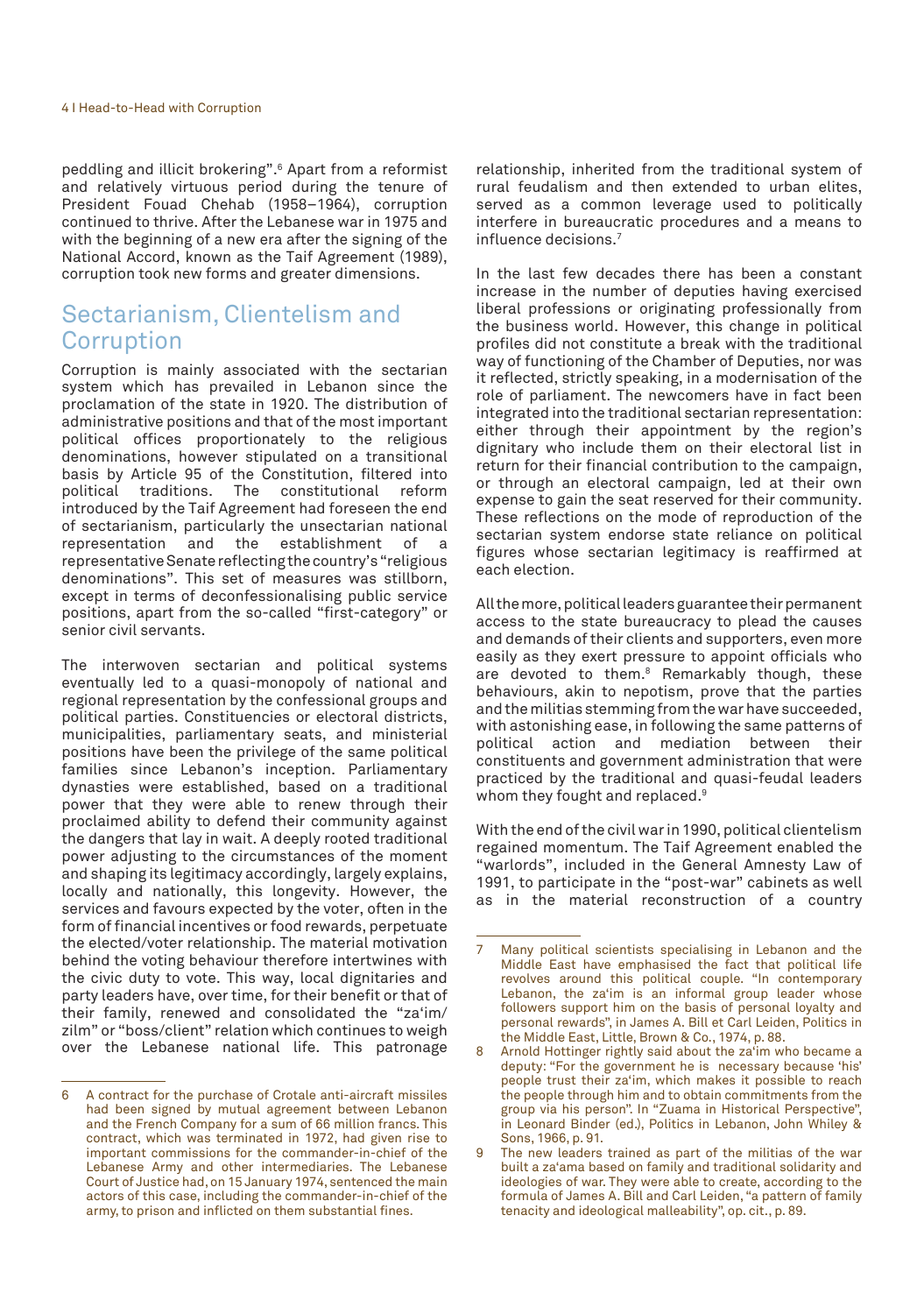peddling and illicit brokering".6 Apart from a reformist and relatively virtuous period during the tenure of President Fouad Chehab (1958–1964), corruption continued to thrive. After the Lebanese war in 1975 and with the beginning of a new era after the signing of the National Accord, known as the Taif Agreement (1989), corruption took new forms and greater dimensions.

#### Sectarianism, Clientelism and Corruption

Corruption is mainly associated with the sectarian system which has prevailed in Lebanon since the proclamation of the state in 1920. The distribution of administrative positions and that of the most important political offices proportionately to the religious denominations, however stipulated on a transitional basis by Article 95 of the Constitution, filtered into political traditions. The constitutional reform The constitutional introduced by the Taif Agreement had foreseen the end of sectarianism, particularly the unsectarian national<br>representation and the establishment of a representation and the establishment of a representative Senate reflecting the country's "religious denominations". This set of measures was stillborn, except in terms of deconfessionalising public service positions, apart from the so-called "first-category" or senior civil servants.

The interwoven sectarian and political systems eventually led to a quasi-monopoly of national and regional representation by the confessional groups and political parties. Constituencies or electoral districts, municipalities, parliamentary seats, and ministerial positions have been the privilege of the same political families since Lebanon's inception. Parliamentary dynasties were established, based on a traditional power that they were able to renew through their proclaimed ability to defend their community against the dangers that lay in wait. A deeply rooted traditional power adjusting to the circumstances of the moment and shaping its legitimacy accordingly, largely explains, locally and nationally, this longevity. However, the services and favours expected by the voter, often in the form of financial incentives or food rewards, perpetuate the elected/voter relationship. The material motivation behind the voting behaviour therefore intertwines with the civic duty to vote. This way, local dignitaries and party leaders have, over time, for their benefit or that of their family, renewed and consolidated the "za'im/ zilm" or "boss/client" relation which continues to weigh over the Lebanese national life. This patronage relationship, inherited from the traditional system of rural feudalism and then extended to urban elites, served as a common leverage used to politically interfere in bureaucratic procedures and a means to influence decisions.7

In the last few decades there has been a constant increase in the number of deputies having exercised liberal professions or originating professionally from the business world. However, this change in political profiles did not constitute a break with the traditional way of functioning of the Chamber of Deputies, nor was it reflected, strictly speaking, in a modernisation of the role of parliament. The newcomers have in fact been integrated into the traditional sectarian representation: either through their appointment by the region's dignitary who include them on their electoral list in return for their financial contribution to the campaign, or through an electoral campaign, led at their own expense to gain the seat reserved for their community. These reflections on the mode of reproduction of the sectarian system endorse state reliance on political figures whose sectarian legitimacy is reaffirmed at each election.

All the more, political leaders guarantee their permanent access to the state bureaucracy to plead the causes and demands of their clients and supporters, even more easily as they exert pressure to appoint officials who are devoted to them.8 Remarkably though, these behaviours, akin to nepotism, prove that the parties and the militias stemming from the war have succeeded, with astonishing ease, in following the same patterns of political action and mediation between their constituents and government administration that were practiced by the traditional and quasi-feudal leaders whom they fought and replaced.<sup>9</sup>

With the end of the civil war in 1990, political clientelism regained momentum. The Taif Agreement enabled the "warlords", included in the General Amnesty Law of 1991, to participate in the "post-war" cabinets as well as in the material reconstruction of a country

<sup>6</sup> A contract for the purchase of Crotale anti-aircraft missiles had been signed by mutual agreement between Lebanon and the French Company for a sum of 66 million francs. This contract, which was terminated in 1972, had given rise to important commissions for the commander-in-chief of the Lebanese Army and other intermediaries. The Lebanese Court of Justice had, on 15 January 1974, sentenced the main actors of this case, including the commander-in-chief of the army, to prison and inflicted on them substantial fines.

Many political scientists specialising in Lebanon and the Middle East have emphasised the fact that political life revolves around this political couple. "In contemporary Lebanon, the za'im is an informal group leader whose followers support him on the basis of personal loyalty and personal rewards", in James A. Bill et Carl Leiden, Politics in the Middle East, Little, Brown & Co., 1974, p. 88.

Arnold Hottinger rightly said about the za'im who became a deputy: "For the government he is necessary because 'his' people trust their za'im, which makes it possible to reach the people through him and to obtain commitments from the group via his person". In "Zuama in Historical Perspective", in Leonard Binder (ed.), Politics in Lebanon, John Whiley & Sons, 1966, p. 91.

The new leaders trained as part of the militias of the war built a za'ama based on family and traditional solidarity and ideologies of war. They were able to create, according to the formula of James A. Bill and Carl Leiden, "a pattern of family tenacity and ideological malleability", op. cit., p. 89.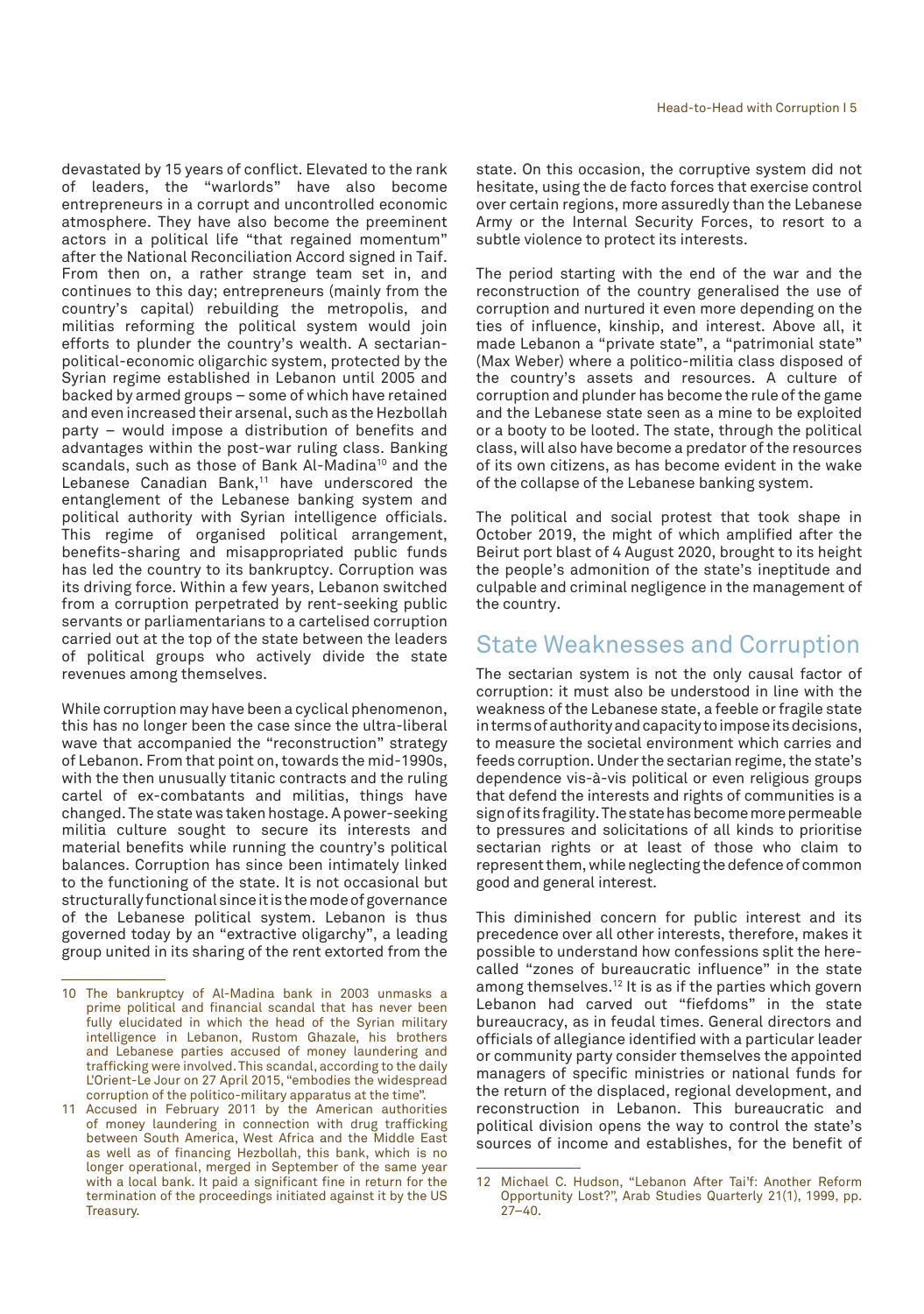devastated by 15 years of conflict. Elevated to the rank of leaders, the "warlords" have also become entrepreneurs in a corrupt and uncontrolled economic atmosphere. They have also become the preeminent actors in a political life "that regained momentum" after the National Reconciliation Accord signed in Taif. From then on, a rather strange team set in, and continues to this day; entrepreneurs (mainly from the country's capital) rebuilding the metropolis, and militias reforming the political system would join efforts to plunder the country's wealth. A sectarianpolitical-economic oligarchic system, protected by the Syrian regime established in Lebanon until 2005 and backed by armed groups – some of which have retained and even increased their arsenal, such as the Hezbollah party – would impose a distribution of benefits and advantages within the post-war ruling class. Banking scandals, such as those of Bank Al-Madina<sup>10</sup> and the Lebanese Canadian Bank,<sup>11</sup> have underscored the entanglement of the Lebanese banking system and political authority with Syrian intelligence officials. This regime of organised political arrangement, benefits-sharing and misappropriated public funds has led the country to its bankruptcy. Corruption was its driving force. Within a few years, Lebanon switched from a corruption perpetrated by rent-seeking public servants or parliamentarians to a cartelised corruption carried out at the top of the state between the leaders of political groups who actively divide the state revenues among themselves.

While corruption may have been a cyclical phenomenon, this has no longer been the case since the ultra-liberal wave that accompanied the "reconstruction" strategy of Lebanon. From that point on, towards the mid-1990s, with the then unusually titanic contracts and the ruling cartel of ex-combatants and militias, things have changed. The state was taken hostage. A power-seeking militia culture sought to secure its interests and material benefits while running the country's political balances. Corruption has since been intimately linked to the functioning of the state. It is not occasional but structurally functional since it is the mode of governance of the Lebanese political system. Lebanon is thus governed today by an "extractive oligarchy", a leading group united in its sharing of the rent extorted from the state. On this occasion, the corruptive system did not hesitate, using the de facto forces that exercise control over certain regions, more assuredly than the Lebanese Army or the Internal Security Forces, to resort to a subtle violence to protect its interests.

The period starting with the end of the war and the reconstruction of the country generalised the use of corruption and nurtured it even more depending on the ties of influence, kinship, and interest. Above all, it made Lebanon a "private state", a "patrimonial state" (Max Weber) where a politico-militia class disposed of the country's assets and resources. A culture of corruption and plunder has become the rule of the game and the Lebanese state seen as a mine to be exploited or a booty to be looted. The state, through the political class, will also have become a predator of the resources of its own citizens, as has become evident in the wake of the collapse of the Lebanese banking system.

The political and social protest that took shape in October 2019, the might of which amplified after the Beirut port blast of 4 August 2020, brought to its height the people's admonition of the state's ineptitude and culpable and criminal negligence in the management of the country.

#### State Weaknesses and Corruption

The sectarian system is not the only causal factor of corruption: it must also be understood in line with the weakness of the Lebanese state, a feeble or fragile state in terms of authority and capacity to impose its decisions, to measure the societal environment which carries and feeds corruption. Under the sectarian regime, the state's dependence vis-à-vis political or even religious groups that defend the interests and rights of communities is a sign of its fragility. The state has become more permeable to pressures and solicitations of all kinds to prioritise sectarian rights or at least of those who claim to represent them, while neglecting the defence of common good and general interest.

This diminished concern for public interest and its precedence over all other interests, therefore, makes it possible to understand how confessions split the herecalled "zones of bureaucratic influence" in the state among themselves.<sup>12</sup> It is as if the parties which govern Lebanon had carved out "fiefdoms" in the state bureaucracy, as in feudal times. General directors and officials of allegiance identified with a particular leader or community party consider themselves the appointed managers of specific ministries or national funds for the return of the displaced, regional development, and reconstruction in Lebanon. This bureaucratic and political division opens the way to control the state's sources of income and establishes, for the benefit of

<sup>10</sup> The bankruptcy of Al-Madina bank in 2003 unmasks a prime political and financial scandal that has never been fully elucidated in which the head of the Syrian military intelligence in Lebanon, Rustom Ghazale, his brothers and Lebanese parties accused of money laundering and trafficking were involved. This scandal, according to the daily L'Orient-Le Jour on 27 April 2015, "embodies the widespread corruption of the politico-military apparatus at the time".

<sup>11</sup> Accused in February 2011 by the American authorities of money laundering in connection with drug trafficking between South America, West Africa and the Middle East as well as of financing Hezbollah, this bank, which is no longer operational, merged in September of the same year with a local bank. It paid a significant fine in return for the termination of the proceedings initiated against it by the US Treasury.

<sup>12</sup> Michael C. Hudson, "Lebanon After Tai'f: Another Reform Opportunity Lost?", Arab Studies Quarterly 21(1), 1999, pp.  $27 - 40.$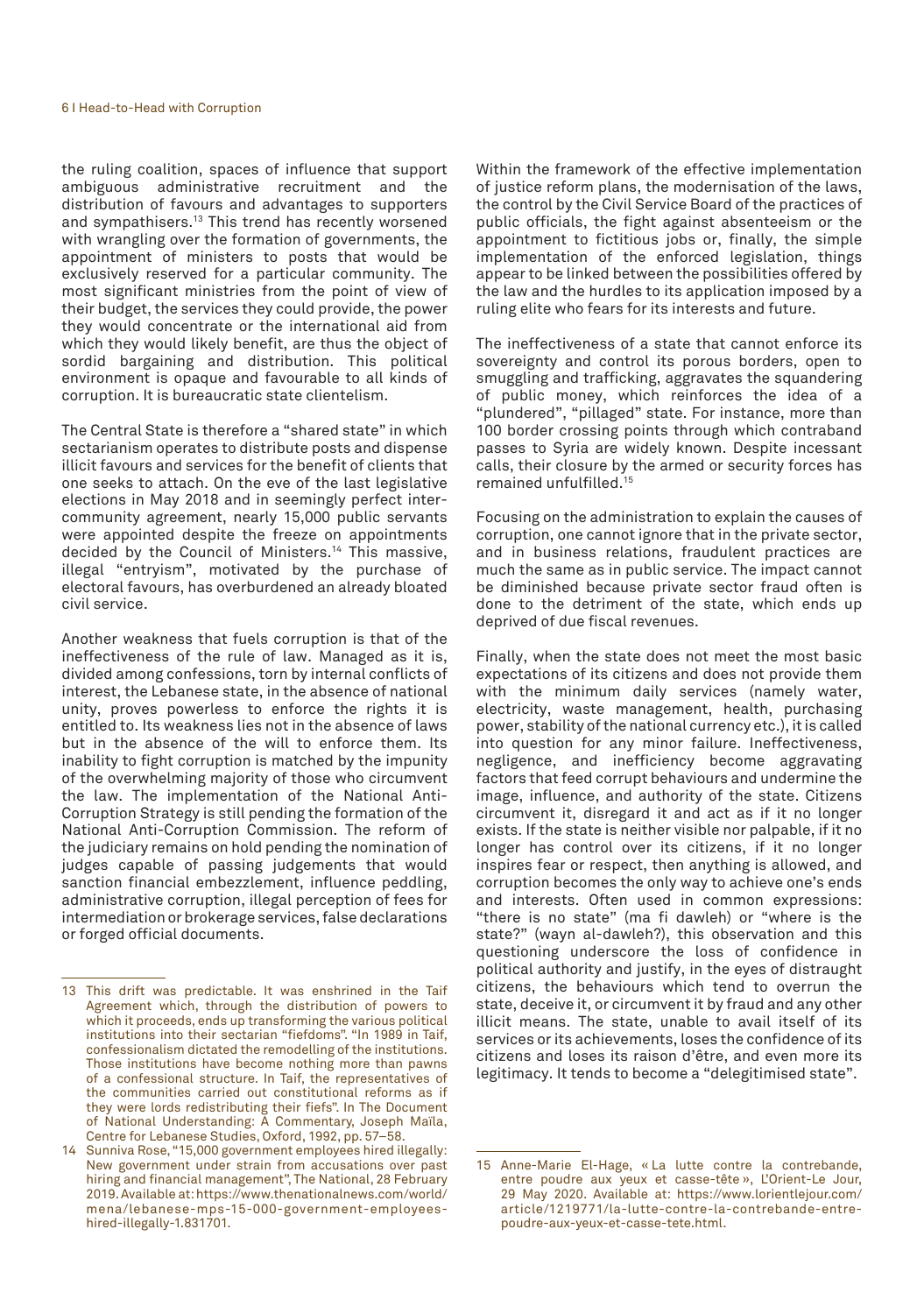the ruling coalition, spaces of influence that support ambiguous administrative recruitment and the distribution of favours and advantages to supporters and sympathisers.13 This trend has recently worsened with wrangling over the formation of governments, the appointment of ministers to posts that would be exclusively reserved for a particular community. The most significant ministries from the point of view of their budget, the services they could provide, the power they would concentrate or the international aid from which they would likely benefit, are thus the object of sordid bargaining and distribution. This political environment is opaque and favourable to all kinds of corruption. It is bureaucratic state clientelism.

The Central State is therefore a "shared state" in which sectarianism operates to distribute posts and dispense illicit favours and services for the benefit of clients that one seeks to attach. On the eve of the last legislative elections in May 2018 and in seemingly perfect intercommunity agreement, nearly 15,000 public servants were appointed despite the freeze on appointments decided by the Council of Ministers.<sup>14</sup> This massive, illegal "entryism", motivated by the purchase of electoral favours, has overburdened an already bloated civil service.

Another weakness that fuels corruption is that of the ineffectiveness of the rule of law. Managed as it is, divided among confessions, torn by internal conflicts of interest, the Lebanese state, in the absence of national unity, proves powerless to enforce the rights it is entitled to. Its weakness lies not in the absence of laws but in the absence of the will to enforce them. Its inability to fight corruption is matched by the impunity of the overwhelming majority of those who circumvent the law. The implementation of the National Anti-Corruption Strategy is still pending the formation of the National Anti-Corruption Commission. The reform of the judiciary remains on hold pending the nomination of judges capable of passing judgements that would sanction financial embezzlement, influence peddling, administrative corruption, illegal perception of fees for intermediation or brokerage services, false declarations or forged official documents.

Within the framework of the effective implementation of justice reform plans, the modernisation of the laws, the control by the Civil Service Board of the practices of public officials, the fight against absenteeism or the appointment to fictitious jobs or, finally, the simple implementation of the enforced legislation, things appear to be linked between the possibilities offered by the law and the hurdles to its application imposed by a ruling elite who fears for its interests and future.

The ineffectiveness of a state that cannot enforce its sovereignty and control its porous borders, open to smuggling and trafficking, aggravates the squandering of public money, which reinforces the idea of a "plundered", "pillaged" state. For instance, more than 100 border crossing points through which contraband passes to Syria are widely known. Despite incessant calls, their closure by the armed or security forces has remained unfulfilled.15

Focusing on the administration to explain the causes of corruption, one cannot ignore that in the private sector, and in business relations, fraudulent practices are much the same as in public service. The impact cannot be diminished because private sector fraud often is done to the detriment of the state, which ends up deprived of due fiscal revenues.

Finally, when the state does not meet the most basic expectations of its citizens and does not provide them with the minimum daily services (namely water, electricity, waste management, health, purchasing power, stability of the national currency etc.), it is called into question for any minor failure. Ineffectiveness, negligence, and inefficiency become aggravating factors that feed corrupt behaviours and undermine the image, influence, and authority of the state. Citizens circumvent it, disregard it and act as if it no longer exists. If the state is neither visible nor palpable, if it no longer has control over its citizens, if it no longer inspires fear or respect, then anything is allowed, and corruption becomes the only way to achieve one's ends and interests. Often used in common expressions: "there is no state" (ma fi dawleh) or "where is the state?" (wayn al-dawleh?), this observation and this questioning underscore the loss of confidence in political authority and justify, in the eyes of distraught citizens, the behaviours which tend to overrun the state, deceive it, or circumvent it by fraud and any other illicit means. The state, unable to avail itself of its services or its achievements, loses the confidence of its citizens and loses its raison d'être, and even more its legitimacy. It tends to become a "delegitimised state".

<sup>13</sup> This drift was predictable. It was enshrined in the Taif Agreement which, through the distribution of powers to which it proceeds, ends up transforming the various political institutions into their sectarian "fiefdoms". "In 1989 in Taif, confessionalism dictated the remodelling of the institutions. Those institutions have become nothing more than pawns of a confessional structure. In Taif, the representatives of the communities carried out constitutional reforms as if they were lords redistributing their fiefs". In The Document of National Understanding: A Commentary, Joseph Maïla, Centre for Lebanese Studies, Oxford, 1992, pp. 57–58.

<sup>14</sup> Sunniva Rose, "15,000 government employees hired illegally: New government under strain from accusations over past hiring and financial management", The National, 28 February 2019. Available at: https://www.thenationalnews.com/world/ mena/lebanese-mps-15-000-government-employeeshired-illegally-1.831701.

<sup>15</sup> Anne-Marie El-Hage, « La lutte contre la contrebande, entre poudre aux yeux et casse-tête », L'Orient-Le Jour, 29 May 2020. Available at: https://www.lorientlejour.com/ article/1219771/la-lutte-contre-la-contrebande-entrepoudre-aux-yeux-et-casse-tete.html.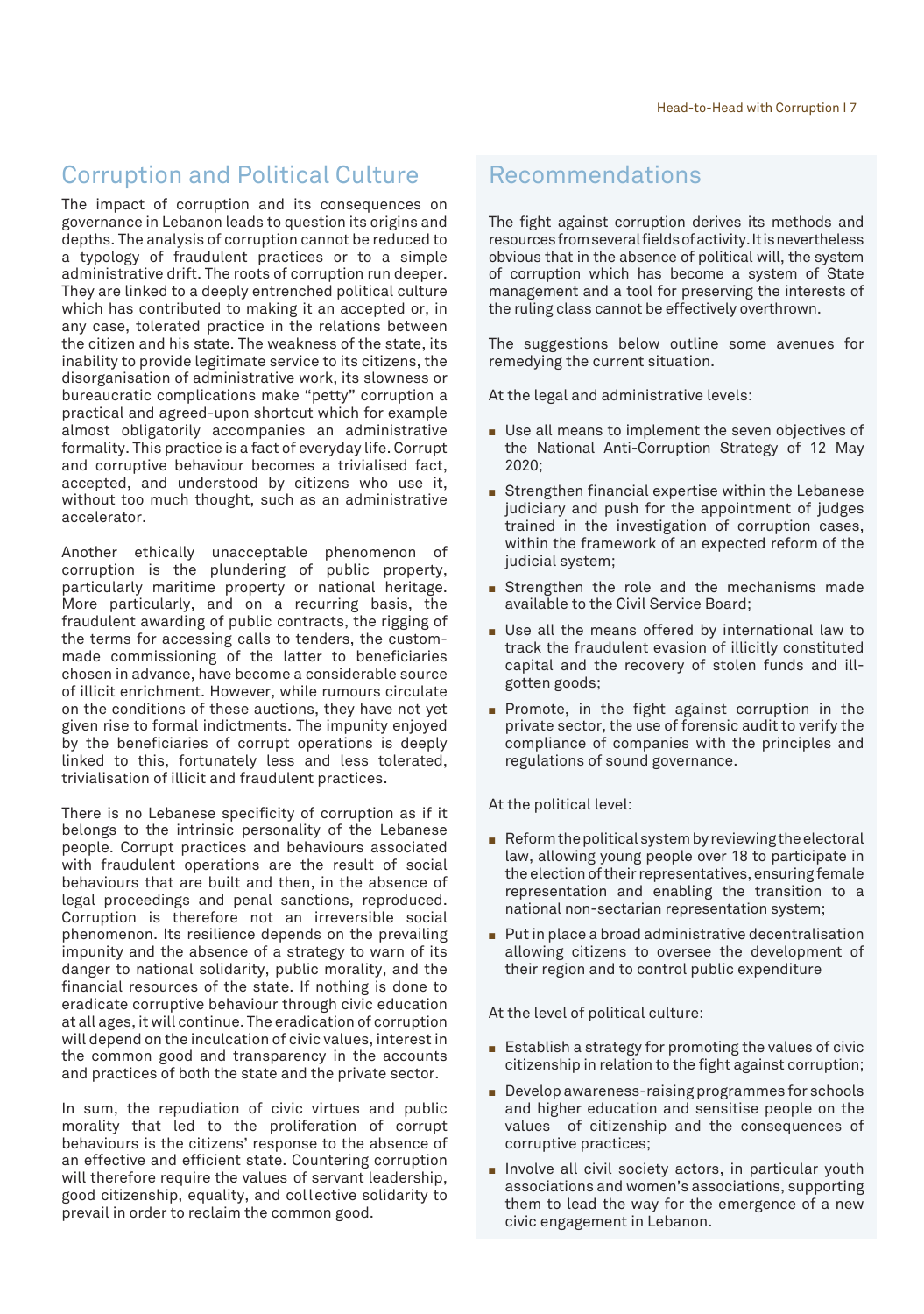## Corruption and Political Culture

The impact of corruption and its consequences on governance in Lebanon leads to question its origins and depths. The analysis of corruption cannot be reduced to a typology of fraudulent practices or to a simple administrative drift. The roots of corruption run deeper. They are linked to a deeply entrenched political culture which has contributed to making it an accepted or, in any case, tolerated practice in the relations between the citizen and his state. The weakness of the state, its inability to provide legitimate service to its citizens, the disorganisation of administrative work, its slowness or bureaucratic complications make "petty" corruption a practical and agreed-upon shortcut which for example almost obligatorily accompanies an administrative formality. This practice is a fact of everyday life. Corrupt and corruptive behaviour becomes a trivialised fact, accepted, and understood by citizens who use it, without too much thought, such as an administrative accelerator.

Another ethically unacceptable phenomenon of corruption is the plundering of public property, particularly maritime property or national heritage. More particularly, and on a recurring basis, the fraudulent awarding of public contracts, the rigging of the terms for accessing calls to tenders, the custommade commissioning of the latter to beneficiaries chosen in advance, have become a considerable source of illicit enrichment. However, while rumours circulate on the conditions of these auctions, they have not yet given rise to formal indictments. The impunity enjoyed by the beneficiaries of corrupt operations is deeply linked to this, fortunately less and less tolerated, trivialisation of illicit and fraudulent practices.

There is no Lebanese specificity of corruption as if it belongs to the intrinsic personality of the Lebanese people. Corrupt practices and behaviours associated with fraudulent operations are the result of social behaviours that are built and then, in the absence of legal proceedings and penal sanctions, reproduced. Corruption is therefore not an irreversible social phenomenon. Its resilience depends on the prevailing impunity and the absence of a strategy to warn of its danger to national solidarity, public morality, and the financial resources of the state. If nothing is done to eradicate corruptive behaviour through civic education at all ages, it will continue. The eradication of corruption will depend on the inculcation of civic values, interest in the common good and transparency in the accounts and practices of both the state and the private sector.

In sum, the repudiation of civic virtues and public morality that led to the proliferation of corrupt behaviours is the citizens' response to the absence of an effective and efficient state. Countering corruption will therefore require the values of servant leadership, good citizenship, equality, and collective solidarity to prevail in order to reclaim the common good.

### Recommendations

The fight against corruption derives its methods and resources from several fields of activity. It is nevertheless obvious that in the absence of political will, the system of corruption which has become a system of State management and a tool for preserving the interests of the ruling class cannot be effectively overthrown.

The suggestions below outline some avenues for remedying the current situation.

At the legal and administrative levels:

- $\blacksquare$  Use all means to implement the seven objectives of the National Anti-Corruption Strategy of 12 May 2020;
- Strengthen financial expertise within the Lebanese judiciary and push for the appointment of judges trained in the investigation of corruption cases, within the framework of an expected reform of the judicial system;
- Strengthen the role and the mechanisms made available to the Civil Service Board;
- $\blacksquare$  Use all the means offered by international law to track the fraudulent evasion of illicitly constituted capital and the recovery of stolen funds and illgotten goods;
- Promote, in the fight against corruption in the private sector, the use of forensic audit to verify the compliance of companies with the principles and regulations of sound governance.

At the political level:

- $\blacksquare$  Reform the political system by reviewing the electoral law, allowing young people over 18 to participate in the election of their representatives, ensuring female representation and enabling the transition to a national non-sectarian representation system;
- $\blacksquare$  Put in place a broad administrative decentralisation allowing citizens to oversee the development of their region and to control public expenditure

At the level of political culture:

- $\blacksquare$  Establish a strategy for promoting the values of civic citizenship in relation to the fight against corruption;
- $\blacksquare$  Develop awareness-raising programmes for schools and higher education and sensitise people on the values of citizenship and the consequences of corruptive practices;
- **n** Involve all civil society actors, in particular youth associations and women's associations, supporting them to lead the way for the emergence of a new civic engagement in Lebanon.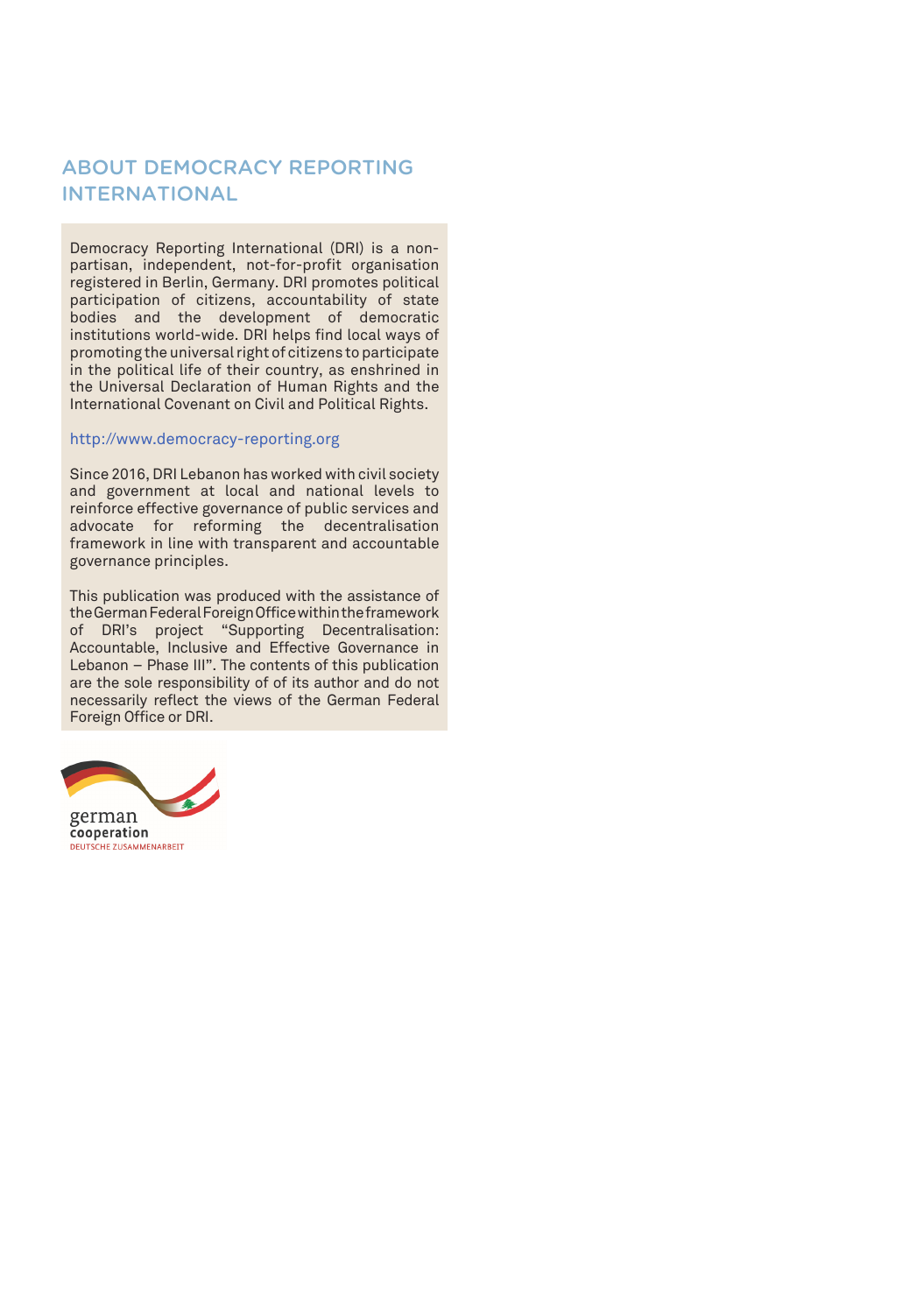#### ABOUT DEMOCRACY REPORTING INTERNATIONAL

Democracy Reporting International (DRI) is a nonpartisan, independent, not-for-profit organisation registered in Berlin, Germany. DRI promotes political participation of citizens, accountability of state bodies and the development of democratic institutions world-wide. DRI helps find local ways of promoting the universal right of citizens to participate in the political life of their country, as enshrined in the Universal Declaration of Human Rights and the International Covenant on Civil and Political Rights.

#### http://www.democracy-reporting.org

Since 2016, DRI Lebanon has worked with civil society and government at local and national levels to reinforce effective governance of public services and advocate for reforming the decentralisation framework in line with transparent and accountable governance principles.

This publication was produced with the assistance of the German Federal Foreign Office within the framework of DRI's project "Supporting Decentralisation: Accountable, Inclusive and Effective Governance in Lebanon – Phase III". The contents of this publication are the sole responsibility of of its author and do not necessarily reflect the views of the German Federal Foreign Office or DRI.